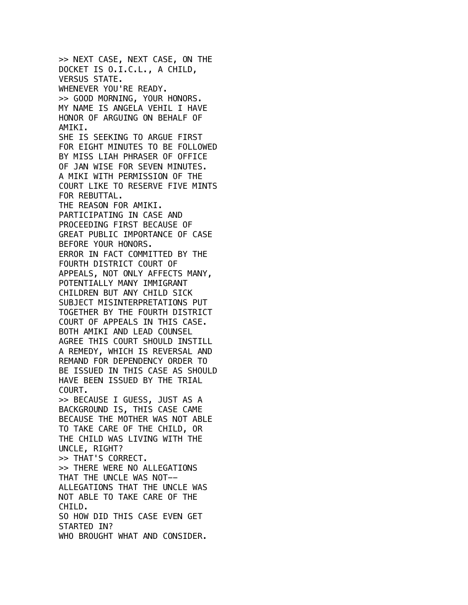>> NEXT CASE, NEXT CASE, ON THE DOCKET IS O.I.C.L., A CHILD, VERSUS STATE. WHENEVER YOU'RE READY. >> GOOD MORNING, YOUR HONORS. MY NAME IS ANGELA VEHIL I HAVE HONOR OF ARGUING ON BEHALF OF AMIKI. SHE IS SEEKING TO ARGUE FIRST FOR EIGHT MINUTES TO BE FOLLOWED BY MISS LIAH PHRASER OF OFFICE OF JAN WISE FOR SEVEN MINUTES. A MIKI WITH PERMISSION OF THE COURT LIKE TO RESERVE FIVE MINTS FOR REBUTTAL. THE REASON FOR AMIKI. PARTICIPATING IN CASE AND PROCEEDING FIRST BECAUSE OF GREAT PUBLIC IMPORTANCE OF CASE BEFORE YOUR HONORS. ERROR IN FACT COMMITTED BY THE FOURTH DISTRICT COURT OF APPEALS, NOT ONLY AFFECTS MANY, POTENTIALLY MANY IMMIGRANT CHILDREN BUT ANY CHILD SICK SUBJECT MISINTERPRETATIONS PUT TOGETHER BY THE FOURTH DISTRICT COURT OF APPEALS IN THIS CASE. BOTH AMIKI AND LEAD COUNSEL AGREE THIS COURT SHOULD INSTILL A REMEDY, WHICH IS REVERSAL AND REMAND FOR DEPENDENCY ORDER TO BE ISSUED IN THIS CASE AS SHOULD HAVE BEEN ISSUED BY THE TRIAL COURT. >> BECAUSE I GUESS, JUST AS A BACKGROUND IS, THIS CASE CAME BECAUSE THE MOTHER WAS NOT ABLE TO TAKE CARE OF THE CHILD, OR THE CHILD WAS LIVING WITH THE UNCLE, RIGHT? >> THAT'S CORRECT. >> THERE WERE NO ALLEGATIONS THAT THE UNCLE WAS NOT-- ALLEGATIONS THAT THE UNCLE WAS NOT ABLE TO TAKE CARE OF THE CHILD. SO HOW DID THIS CASE EVEN GET STARTED IN? WHO BROUGHT WHAT AND CONSIDER.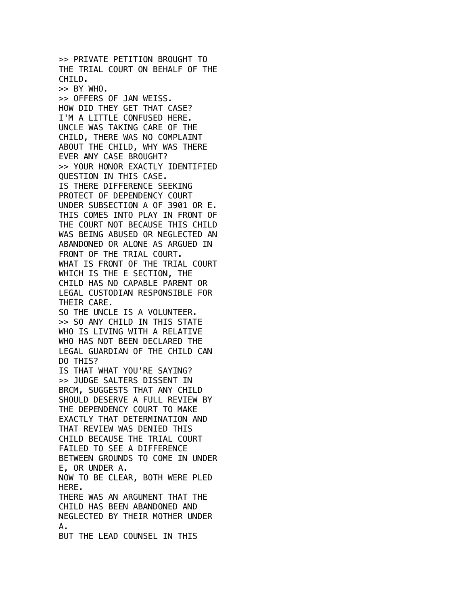>> PRIVATE PETITION BROUGHT TO THE TRIAL COURT ON BEHALF OF THE CHILD.  $\gg$  BY WHO. >> OFFERS OF JAN WEISS. HOW DID THEY GET THAT CASE? I'M A LITTLE CONFUSED HERE. UNCLE WAS TAKING CARE OF THE CHILD, THERE WAS NO COMPLAINT ABOUT THE CHILD, WHY WAS THERE EVER ANY CASE BROUGHT? >> YOUR HONOR EXACTLY IDENTIFIED QUESTION IN THIS CASE. IS THERE DIFFERENCE SEEKING PROTECT OF DEPENDENCY COURT UNDER SUBSECTION A OF 3901 OR E. THIS COMES INTO PLAY IN FRONT OF THE COURT NOT BECAUSE THIS CHILD WAS BEING ABUSED OR NEGLECTED AN ABANDONED OR ALONE AS ARGUED IN FRONT OF THE TRIAL COURT. WHAT IS FRONT OF THE TRIAL COURT WHICH IS THE E SECTION, THE CHILD HAS NO CAPABLE PARENT OR LEGAL CUSTODIAN RESPONSIBLE FOR THEIR CARE. SO THE UNCLE IS A VOLUNTEER. >> SO ANY CHILD IN THIS STATE WHO IS LIVING WITH A RELATIVE WHO HAS NOT BEEN DECLARED THE LEGAL GUARDIAN OF THE CHILD CAN DO THIS? IS THAT WHAT YOU'RE SAYING? >> JUDGE SALTERS DISSENT IN BRCM, SUGGESTS THAT ANY CHILD SHOULD DESERVE A FULL REVIEW BY THE DEPENDENCY COURT TO MAKE EXACTLY THAT DETERMINATION AND THAT REVIEW WAS DENIED THIS CHILD BECAUSE THE TRIAL COURT FAILED TO SEE A DIFFERENCE BETWEEN GROUNDS TO COME IN UNDER E, OR UNDER A. NOW TO BE CLEAR, BOTH WERE PLED HERE. THERE WAS AN ARGUMENT THAT THE CHILD HAS BEEN ABANDONED AND NEGLECTED BY THEIR MOTHER UNDER A. BUT THE LEAD COUNSEL IN THIS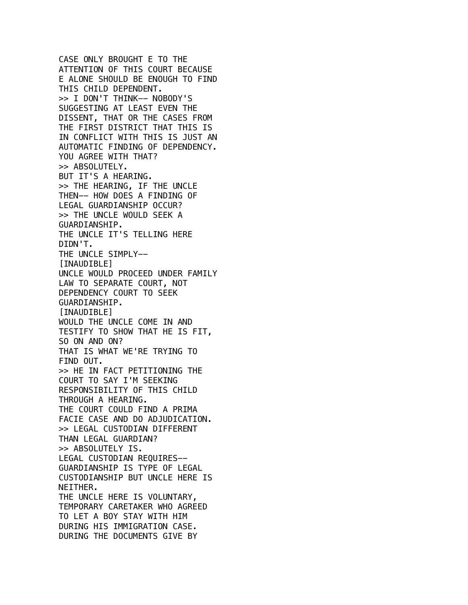CASE ONLY BROUGHT E TO THE ATTENTION OF THIS COURT BECAUSE E ALONE SHOULD BE ENOUGH TO FIND THIS CHILD DEPENDENT. >> I DON'T THINK-- NOBODY'S SUGGESTING AT LEAST EVEN THE DISSENT, THAT OR THE CASES FROM THE FIRST DISTRICT THAT THIS IS IN CONFLICT WITH THIS IS JUST AN AUTOMATIC FINDING OF DEPENDENCY. YOU AGREE WITH THAT? >> ABSOLUTELY. BUT IT'S A HEARING. >> THE HEARING, IF THE UNCLE THEN-- HOW DOES A FINDING OF LEGAL GUARDIANSHIP OCCUR? >> THE UNCLE WOULD SEEK A GUARDIANSHIP. THE UNCLE IT'S TELLING HERE DIDN'T. THE UNCLE SIMPLY--[INAUDIBLE] UNCLE WOULD PROCEED UNDER FAMILY LAW TO SEPARATE COURT, NOT DEPENDENCY COURT TO SEEK GUARDIANSHIP. [INAUDIBLE] WOULD THE UNCLE COME IN AND TESTIFY TO SHOW THAT HE IS FIT, SO ON AND ON? THAT IS WHAT WE'RE TRYING TO FIND OUT. >> HE IN FACT PETITIONING THE COURT TO SAY I'M SEEKING RESPONSIBILITY OF THIS CHILD THROUGH A HEARING. THE COURT COULD FIND A PRIMA FACIE CASE AND DO ADJUDICATION. >> LEGAL CUSTODIAN DIFFERENT THAN LEGAL GUARDIAN? >> ABSOLUTELY IS. LEGAL CUSTODIAN REQUIRES-- GUARDIANSHIP IS TYPE OF LEGAL CUSTODIANSHIP BUT UNCLE HERE IS NEITHER. THE UNCLE HERE IS VOLUNTARY, TEMPORARY CARETAKER WHO AGREED TO LET A BOY STAY WITH HIM DURING HIS IMMIGRATION CASE. DURING THE DOCUMENTS GIVE BY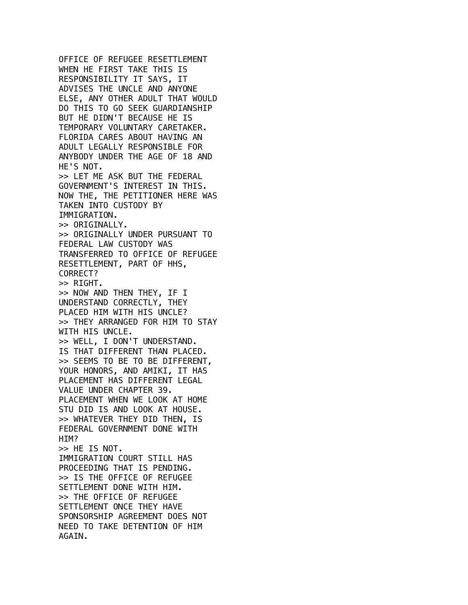OFFICE OF REFUGEE RESETTLEMENT WHEN HE FIRST TAKE THIS IS RESPONSIBILITY IT SAYS, IT ADVISES THE UNCLE AND ANYONE ELSE, ANY OTHER ADULT THAT WOULD DO THIS TO GO SEEK GUARDIANSHIP BUT HE DIDN'T BECAUSE HE IS TEMPORARY VOLUNTARY CARETAKER. FLORIDA CARES ABOUT HAVING AN ADULT LEGALLY RESPONSIBLE FOR ANYBODY UNDER THE AGE OF 18 AND HE'S NOT. >> LET ME ASK BUT THE FEDERAL GOVERNMENT'S INTEREST IN THIS. NOW THE, THE PETITIONER HERE WAS TAKEN INTO CUSTODY BY IMMIGRATION. >> ORIGINALLY. >> ORIGINALLY UNDER PURSUANT TO FEDERAL LAW CUSTODY WAS TRANSFERRED TO OFFICE OF REFUGEE RESETTLEMENT, PART OF HHS, CORRECT? >> RIGHT. >> NOW AND THEN THEY, IF I UNDERSTAND CORRECTLY, THEY PLACED HIM WITH HIS UNCLE? >> THEY ARRANGED FOR HIM TO STAY WITH HIS UNCLE. >> WELL, I DON'T UNDERSTAND. IS THAT DIFFERENT THAN PLACED. >> SEEMS TO BE TO BE DIFFERENT, YOUR HONORS, AND AMIKI, IT HAS PLACEMENT HAS DIFFERENT LEGAL VALUE UNDER CHAPTER 39. PLACEMENT WHEN WE LOOK AT HOME STU DID IS AND LOOK AT HOUSE. >> WHATEVER THEY DID THEN, IS FEDERAL GOVERNMENT DONE WITH HIM? >> HE IS NOT. IMMIGRATION COURT STILL HAS PROCEEDING THAT IS PENDING. >> IS THE OFFICE OF REFUGEE SETTLEMENT DONE WITH HIM. >> THE OFFICE OF REFUGEE SETTLEMENT ONCE THEY HAVE SPONSORSHIP AGREEMENT DOES NOT NEED TO TAKE DETENTION OF HIM AGAIN.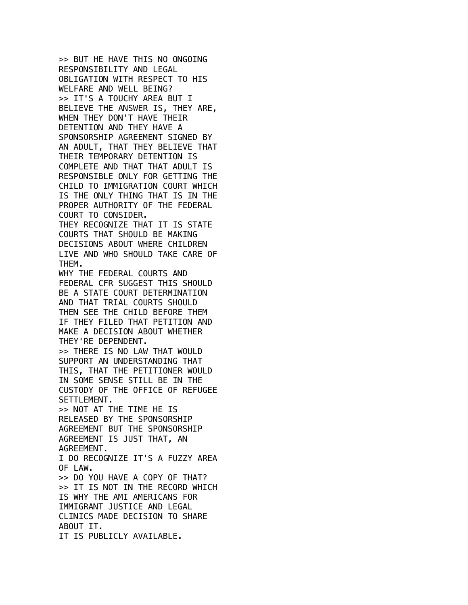>> BUT HE HAVE THIS NO ONGOING RESPONSIBILITY AND LEGAL OBLIGATION WITH RESPECT TO HIS WELFARE AND WELL BEING? >> IT'S A TOUCHY AREA BUT I BELIEVE THE ANSWER IS, THEY ARE, WHEN THEY DON'T HAVE THEIR DETENTION AND THEY HAVE A SPONSORSHIP AGREEMENT SIGNED BY AN ADULT, THAT THEY BELIEVE THAT THEIR TEMPORARY DETENTION IS COMPLETE AND THAT THAT ADULT IS RESPONSIBLE ONLY FOR GETTING THE CHILD TO IMMIGRATION COURT WHICH IS THE ONLY THING THAT IS IN THE PROPER AUTHORITY OF THE FEDERAL COURT TO CONSIDER. THEY RECOGNIZE THAT IT IS STATE COURTS THAT SHOULD BE MAKING DECISIONS ABOUT WHERE CHILDREN LIVE AND WHO SHOULD TAKE CARE OF THEM. WHY THE FEDERAL COURTS AND FEDERAL CFR SUGGEST THIS SHOULD BE A STATE COURT DETERMINATION AND THAT TRIAL COURTS SHOULD THEN SEE THE CHILD BEFORE THEM IF THEY FILED THAT PETITION AND MAKE A DECISION ABOUT WHETHER THEY'RE DEPENDENT. >> THERE IS NO LAW THAT WOULD SUPPORT AN UNDERSTANDING THAT THIS, THAT THE PETITIONER WOULD IN SOME SENSE STILL BE IN THE CUSTODY OF THE OFFICE OF REFUGEE SETTLEMENT. >> NOT AT THE TIME HE IS RELEASED BY THE SPONSORSHIP AGREEMENT BUT THE SPONSORSHIP AGREEMENT IS JUST THAT, AN AGREEMENT. I DO RECOGNIZE IT'S A FUZZY AREA OF LAW. >> DO YOU HAVE A COPY OF THAT? >> IT IS NOT IN THE RECORD WHICH IS WHY THE AMI AMERICANS FOR IMMIGRANT JUSTICE AND LEGAL CLINICS MADE DECISION TO SHARE ABOUT IT. IT IS PUBLICLY AVAILABLE.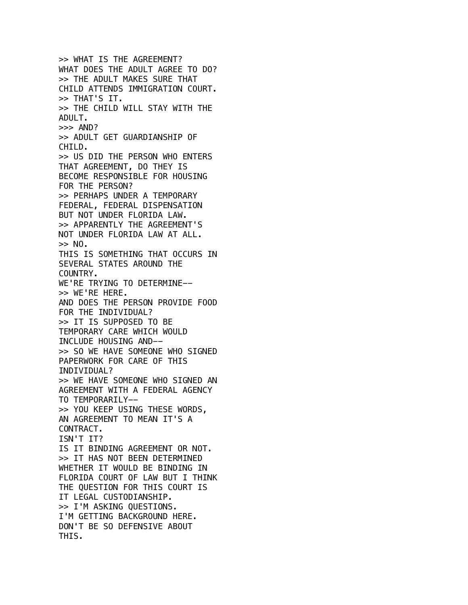>> WHAT IS THE AGREEMENT? WHAT DOES THE ADULT AGREE TO DO? >> THE ADULT MAKES SURE THAT CHILD ATTENDS IMMIGRATION COURT. >> THAT'S IT. >> THE CHILD WILL STAY WITH THE ADULT.  $>>$  AND? >> ADULT GET GUARDIANSHIP OF CHILD. >> US DID THE PERSON WHO ENTERS THAT AGREEMENT, DO THEY IS BECOME RESPONSIBLE FOR HOUSING FOR THE PERSON? >> PERHAPS UNDER A TEMPORARY FEDERAL, FEDERAL DISPENSATION BUT NOT UNDER FLORIDA LAW. >> APPARENTLY THE AGREEMENT'S NOT UNDER FLORIDA LAW AT ALL.  $>>$  NO. THIS IS SOMETHING THAT OCCURS IN SEVERAL STATES AROUND THE COUNTRY. WE'RE TRYING TO DETERMINE-- >> WE'RE HERE. AND DOES THE PERSON PROVIDE FOOD FOR THE INDIVIDUAL? >> IT IS SUPPOSED TO BE TEMPORARY CARE WHICH WOULD INCLUDE HOUSING AND-- >> SO WE HAVE SOMEONE WHO SIGNED PAPERWORK FOR CARE OF THIS INDIVIDUAL? >> WE HAVE SOMEONE WHO SIGNED AN AGREEMENT WITH A FEDERAL AGENCY TO TEMPORARILY-- >> YOU KEEP USING THESE WORDS, AN AGREEMENT TO MEAN IT'S A CONTRACT. ISN'T IT? IS IT BINDING AGREEMENT OR NOT. >> IT HAS NOT BEEN DETERMINED WHETHER IT WOULD BE BINDING IN FLORIDA COURT OF LAW BUT I THINK THE QUESTION FOR THIS COURT IS IT LEGAL CUSTODIANSHIP. >> I'M ASKING QUESTIONS. I'M GETTING BACKGROUND HERE. DON'T BE SO DEFENSIVE ABOUT THIS.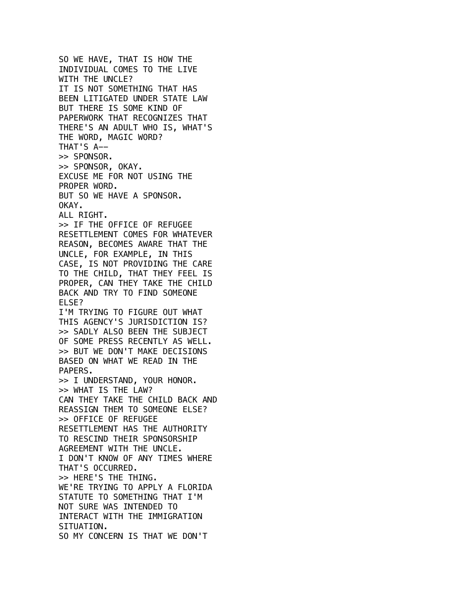SO WE HAVE, THAT IS HOW THE INDIVIDUAL COMES TO THE LIVE WITH THE UNCLE? IT IS NOT SOMETHING THAT HAS BEEN LITIGATED UNDER STATE LAW BUT THERE IS SOME KIND OF PAPERWORK THAT RECOGNIZES THAT THERE'S AN ADULT WHO IS, WHAT'S THE WORD, MAGIC WORD? THAT'S A-- >> SPONSOR. >> SPONSOR, OKAY. EXCUSE ME FOR NOT USING THE PROPER WORD. BUT SO WE HAVE A SPONSOR. OKAY. ALL RIGHT. >> IF THE OFFICE OF REFUGEE RESETTLEMENT COMES FOR WHATEVER REASON, BECOMES AWARE THAT THE UNCLE, FOR EXAMPLE, IN THIS CASE, IS NOT PROVIDING THE CARE TO THE CHILD, THAT THEY FEEL IS PROPER, CAN THEY TAKE THE CHILD BACK AND TRY TO FIND SOMEONE ELSE? I'M TRYING TO FIGURE OUT WHAT THIS AGENCY'S JURISDICTION IS? >> SADLY ALSO BEEN THE SUBJECT OF SOME PRESS RECENTLY AS WELL. >> BUT WE DON'T MAKE DECISIONS BASED ON WHAT WE READ IN THE PAPERS. >> I UNDERSTAND, YOUR HONOR. >> WHAT IS THE LAW? CAN THEY TAKE THE CHILD BACK AND REASSIGN THEM TO SOMEONE ELSE? >> OFFICE OF REFUGEE RESETTLEMENT HAS THE AUTHORITY TO RESCIND THEIR SPONSORSHIP AGREEMENT WITH THE UNCLE. I DON'T KNOW OF ANY TIMES WHERE THAT'S OCCURRED. >> HERE'S THE THING. WE'RE TRYING TO APPLY A FLORIDA STATUTE TO SOMETHING THAT I'M NOT SURE WAS INTENDED TO INTERACT WITH THE IMMIGRATION SITUATION. SO MY CONCERN IS THAT WE DON'T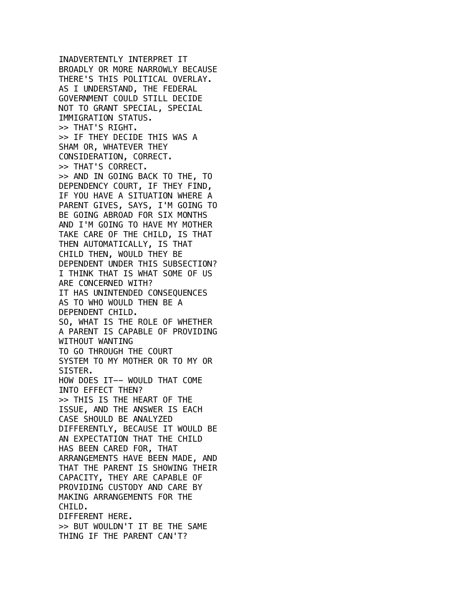INADVERTENTLY INTERPRET IT BROADLY OR MORE NARROWLY BECAUSE THERE'S THIS POLITICAL OVERLAY. AS I UNDERSTAND, THE FEDERAL GOVERNMENT COULD STILL DECIDE NOT TO GRANT SPECIAL, SPECIAL IMMIGRATION STATUS. >> THAT'S RIGHT. >> IF THEY DECIDE THIS WAS A SHAM OR, WHATEVER THEY CONSIDERATION, CORRECT. >> THAT'S CORRECT. >> AND IN GOING BACK TO THE, TO DEPENDENCY COURT, IF THEY FIND, IF YOU HAVE A SITUATION WHERE A PARENT GIVES, SAYS, I'M GOING TO BE GOING ABROAD FOR SIX MONTHS AND I'M GOING TO HAVE MY MOTHER TAKE CARE OF THE CHILD, IS THAT THEN AUTOMATICALLY, IS THAT CHILD THEN, WOULD THEY BE DEPENDENT UNDER THIS SUBSECTION? I THINK THAT IS WHAT SOME OF US ARE CONCERNED WITH? IT HAS UNINTENDED CONSEQUENCES AS TO WHO WOULD THEN BE A DEPENDENT CHILD. SO, WHAT IS THE ROLE OF WHETHER A PARENT IS CAPABLE OF PROVIDING WITHOUT WANTING TO GO THROUGH THE COURT SYSTEM TO MY MOTHER OR TO MY OR SISTER. HOW DOES IT-- WOULD THAT COME INTO EFFECT THEN? >> THIS IS THE HEART OF THE ISSUE, AND THE ANSWER IS EACH CASE SHOULD BE ANALYZED DIFFERENTLY, BECAUSE IT WOULD BE AN EXPECTATION THAT THE CHILD HAS BEEN CARED FOR, THAT ARRANGEMENTS HAVE BEEN MADE, AND THAT THE PARENT IS SHOWING THEIR CAPACITY, THEY ARE CAPABLE OF PROVIDING CUSTODY AND CARE BY MAKING ARRANGEMENTS FOR THE CHILD. DIFFERENT HERE. >> BUT WOULDN'T IT BE THE SAME THING IF THE PARENT CAN'T?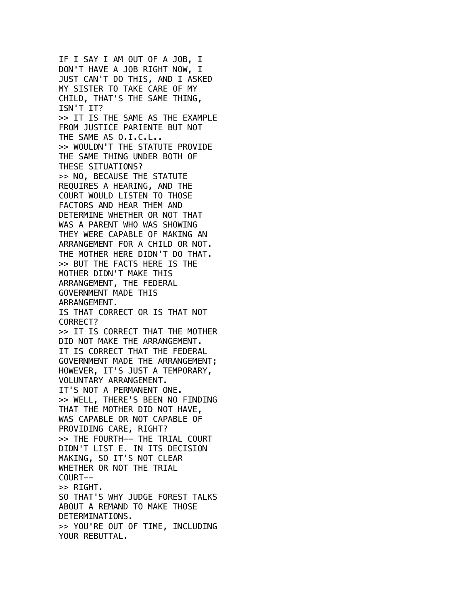IF I SAY I AM OUT OF A JOB, I DON'T HAVE A JOB RIGHT NOW, I JUST CAN'T DO THIS, AND I ASKED MY SISTER TO TAKE CARE OF MY CHILD, THAT'S THE SAME THING, ISN'T IT? >> IT IS THE SAME AS THE EXAMPLE FROM JUSTICE PARIENTE BUT NOT THE SAME AS O.I.C.L.. >> WOULDN'T THE STATUTE PROVIDE THE SAME THING UNDER BOTH OF THESE SITUATIONS? >> NO, BECAUSE THE STATUTE REQUIRES A HEARING, AND THE COURT WOULD LISTEN TO THOSE FACTORS AND HEAR THEM AND DETERMINE WHETHER OR NOT THAT WAS A PARENT WHO WAS SHOWING THEY WERE CAPABLE OF MAKING AN ARRANGEMENT FOR A CHILD OR NOT. THE MOTHER HERE DIDN'T DO THAT. >> BUT THE FACTS HERE IS THE MOTHER DIDN'T MAKE THIS ARRANGEMENT, THE FEDERAL GOVERNMENT MADE THIS ARRANGEMENT. IS THAT CORRECT OR IS THAT NOT CORRECT? >> IT IS CORRECT THAT THE MOTHER DID NOT MAKE THE ARRANGEMENT. IT IS CORRECT THAT THE FEDERAL GOVERNMENT MADE THE ARRANGEMENT; HOWEVER, IT'S JUST A TEMPORARY, VOLUNTARY ARRANGEMENT. IT'S NOT A PERMANENT ONE. >> WELL, THERE'S BEEN NO FINDING THAT THE MOTHER DID NOT HAVE, WAS CAPABLE OR NOT CAPABLE OF PROVIDING CARE, RIGHT? >> THE FOURTH-- THE TRIAL COURT DIDN'T LIST E. IN ITS DECISION MAKING, SO IT'S NOT CLEAR WHETHER OR NOT THE TRIAL COURT-- >> RIGHT. SO THAT'S WHY JUDGE FOREST TALKS ABOUT A REMAND TO MAKE THOSE DETERMINATIONS. >> YOU'RE OUT OF TIME, INCLUDING YOUR REBUTTAL.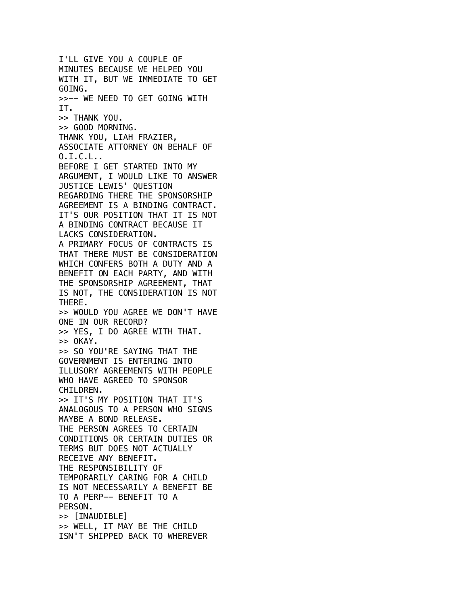I'LL GIVE YOU A COUPLE OF MINUTES BECAUSE WE HELPED YOU WITH IT, BUT WE IMMEDIATE TO GET GOING. >>-- WE NEED TO GET GOING WITH IT. >> THANK YOU. >> GOOD MORNING. THANK YOU, LIAH FRAZIER, ASSOCIATE ATTORNEY ON BEHALF OF  $0.1.C.L.$ BEFORE I GET STARTED INTO MY ARGUMENT, I WOULD LIKE TO ANSWER JUSTICE LEWIS' QUESTION REGARDING THERE THE SPONSORSHIP AGREEMENT IS A BINDING CONTRACT. IT'S OUR POSITION THAT IT IS NOT A BINDING CONTRACT BECAUSE IT LACKS CONSIDERATION. A PRIMARY FOCUS OF CONTRACTS IS THAT THERE MUST BE CONSIDERATION WHICH CONFERS BOTH A DUTY AND A BENEFIT ON EACH PARTY, AND WITH THE SPONSORSHIP AGREEMENT, THAT IS NOT, THE CONSIDERATION IS NOT THERE. >> WOULD YOU AGREE WE DON'T HAVE ONE IN OUR RECORD? >> YES, I DO AGREE WITH THAT.  $>>$  OKAY. >> SO YOU'RE SAYING THAT THE GOVERNMENT IS ENTERING INTO ILLUSORY AGREEMENTS WITH PEOPLE WHO HAVE AGREED TO SPONSOR CHILDREN. >> IT'S MY POSITION THAT IT'S ANALOGOUS TO A PERSON WHO SIGNS MAYBE A BOND RELEASE. THE PERSON AGREES TO CERTAIN CONDITIONS OR CERTAIN DUTIES OR TERMS BUT DOES NOT ACTUALLY RECEIVE ANY BENEFIT. THE RESPONSIBILITY OF TEMPORARILY CARING FOR A CHILD IS NOT NECESSARILY A BENEFIT BE TO A PERP-- BENEFIT TO A PERSON. >> [INAUDIBLE] >> WELL, IT MAY BE THE CHILD ISN'T SHIPPED BACK TO WHEREVER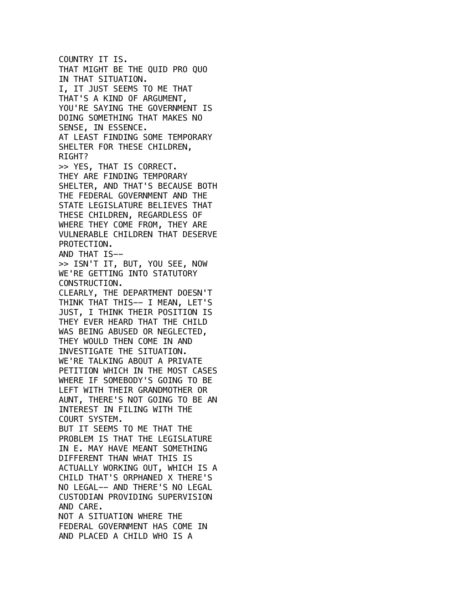COUNTRY IT IS. THAT MIGHT BE THE QUID PRO QUO IN THAT SITUATION. I, IT JUST SEEMS TO ME THAT THAT'S A KIND OF ARGUMENT, YOU'RE SAYING THE GOVERNMENT IS DOING SOMETHING THAT MAKES NO SENSE, IN ESSENCE. AT LEAST FINDING SOME TEMPORARY SHELTER FOR THESE CHILDREN, RIGHT? >> YES, THAT IS CORRECT. THEY ARE FINDING TEMPORARY SHELTER, AND THAT'S BECAUSE BOTH THE FEDERAL GOVERNMENT AND THE STATE LEGISLATURE BELIEVES THAT THESE CHILDREN, REGARDLESS OF WHERE THEY COME FROM, THEY ARE VULNERABLE CHILDREN THAT DESERVE PROTECTION. AND THAT IS-- >> ISN'T IT, BUT, YOU SEE, NOW WE'RE GETTING INTO STATUTORY CONSTRUCTION. CLEARLY, THE DEPARTMENT DOESN'T THINK THAT THIS-- I MEAN, LET'S JUST, I THINK THEIR POSITION IS THEY EVER HEARD THAT THE CHILD WAS BEING ABUSED OR NEGLECTED, THEY WOULD THEN COME IN AND INVESTIGATE THE SITUATION. WE'RE TALKING ABOUT A PRIVATE PETITION WHICH IN THE MOST CASES WHERE IF SOMEBODY'S GOING TO BE LEFT WITH THEIR GRANDMOTHER OR AUNT, THERE'S NOT GOING TO BE AN INTEREST IN FILING WITH THE COURT SYSTEM. BUT IT SEEMS TO ME THAT THE PROBLEM IS THAT THE LEGISLATURE IN E. MAY HAVE MEANT SOMETHING DIFFERENT THAN WHAT THIS IS ACTUALLY WORKING OUT, WHICH IS A CHILD THAT'S ORPHANED X THERE'S NO LEGAL-- AND THERE'S NO LEGAL CUSTODIAN PROVIDING SUPERVISION AND CARE. NOT A SITUATION WHERE THE FEDERAL GOVERNMENT HAS COME IN AND PLACED A CHILD WHO IS A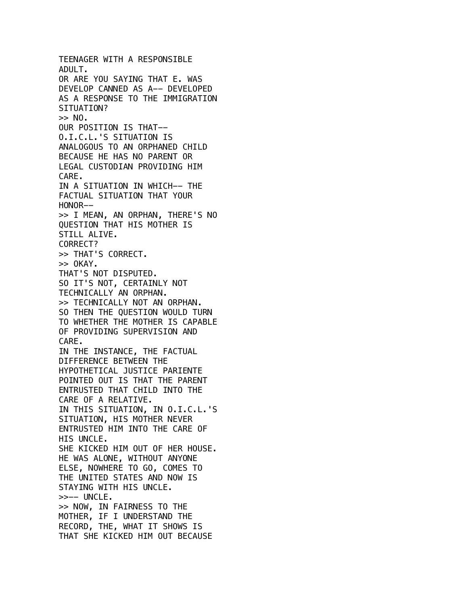TEENAGER WITH A RESPONSIBLE ADULT. OR ARE YOU SAYING THAT E. WAS DEVELOP CANNED AS A-- DEVELOPED AS A RESPONSE TO THE IMMIGRATION SITUATION?  $>> NO.$ OUR POSITION IS THAT-- O.I.C.L.'S SITUATION IS ANALOGOUS TO AN ORPHANED CHILD BECAUSE HE HAS NO PARENT OR LEGAL CUSTODIAN PROVIDING HIM CARE. IN A SITUATION IN WHICH-- THE FACTUAL SITUATION THAT YOUR HONOR-- >> I MEAN, AN ORPHAN, THERE'S NO QUESTION THAT HIS MOTHER IS STILL ALIVE. CORRECT? >> THAT'S CORRECT.  $>>$  OKAY. THAT'S NOT DISPUTED. SO IT'S NOT, CERTAINLY NOT TECHNICALLY AN ORPHAN. >> TECHNICALLY NOT AN ORPHAN. SO THEN THE QUESTION WOULD TURN TO WHETHER THE MOTHER IS CAPABLE OF PROVIDING SUPERVISION AND CARE. IN THE INSTANCE, THE FACTUAL DIFFERENCE BETWEEN THE HYPOTHETICAL JUSTICE PARIENTE POINTED OUT IS THAT THE PARENT ENTRUSTED THAT CHILD INTO THE CARE OF A RELATIVE. IN THIS SITUATION, IN O.I.C.L.'S SITUATION, HIS MOTHER NEVER ENTRUSTED HIM INTO THE CARE OF HIS UNCLE. SHE KICKED HIM OUT OF HER HOUSE. HE WAS ALONE, WITHOUT ANYONE ELSE, NOWHERE TO GO, COMES TO THE UNITED STATES AND NOW IS STAYING WITH HIS UNCLE. >>-- UNCLE. >> NOW, IN FAIRNESS TO THE MOTHER, IF I UNDERSTAND THE RECORD, THE, WHAT IT SHOWS IS THAT SHE KICKED HIM OUT BECAUSE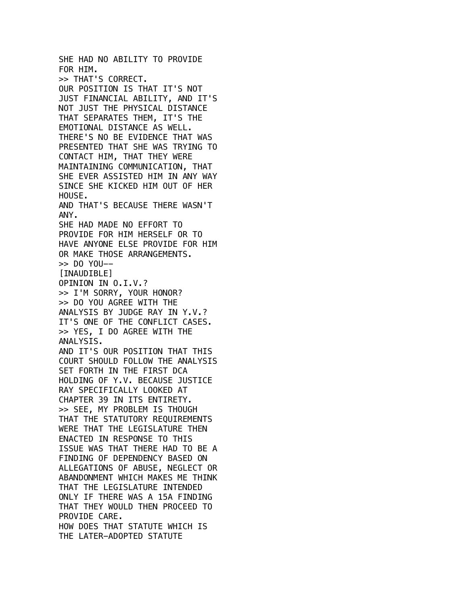SHE HAD NO ABILITY TO PROVIDE FOR HIM. >> THAT'S CORRECT. OUR POSITION IS THAT IT'S NOT JUST FINANCIAL ABILITY, AND IT'S NOT JUST THE PHYSICAL DISTANCE THAT SEPARATES THEM, IT'S THE EMOTIONAL DISTANCE AS WELL. THERE'S NO BE EVIDENCE THAT WAS PRESENTED THAT SHE WAS TRYING TO CONTACT HIM, THAT THEY WERE MAINTAINING COMMUNICATION, THAT SHE EVER ASSISTED HIM IN ANY WAY SINCE SHE KICKED HIM OUT OF HER HOUSE. AND THAT'S BECAUSE THERE WASN'T ANY. SHE HAD MADE NO EFFORT TO PROVIDE FOR HIM HERSELF OR TO HAVE ANYONE ELSE PROVIDE FOR HIM OR MAKE THOSE ARRANGEMENTS. >> DO YOU-- [INAUDIBLE] OPINION IN O.I.V.? >> I'M SORRY, YOUR HONOR? >> DO YOU AGREE WITH THE ANALYSIS BY JUDGE RAY IN Y.V.? IT'S ONE OF THE CONFLICT CASES. >> YES, I DO AGREE WITH THE ANALYSIS. AND IT'S OUR POSITION THAT THIS COURT SHOULD FOLLOW THE ANALYSIS SET FORTH IN THE FIRST DCA HOLDING OF Y.V. BECAUSE JUSTICE RAY SPECIFICALLY LOOKED AT CHAPTER 39 IN ITS ENTIRETY. >> SEE, MY PROBLEM IS THOUGH THAT THE STATUTORY REQUIREMENTS WERE THAT THE LEGISLATURE THEN ENACTED IN RESPONSE TO THIS ISSUE WAS THAT THERE HAD TO BE A FINDING OF DEPENDENCY BASED ON ALLEGATIONS OF ABUSE, NEGLECT OR ABANDONMENT WHICH MAKES ME THINK THAT THE LEGISLATURE INTENDED ONLY IF THERE WAS A 15A FINDING THAT THEY WOULD THEN PROCEED TO PROVIDE CARE. HOW DOES THAT STATUTE WHICH IS THE LATER-ADOPTED STATUTE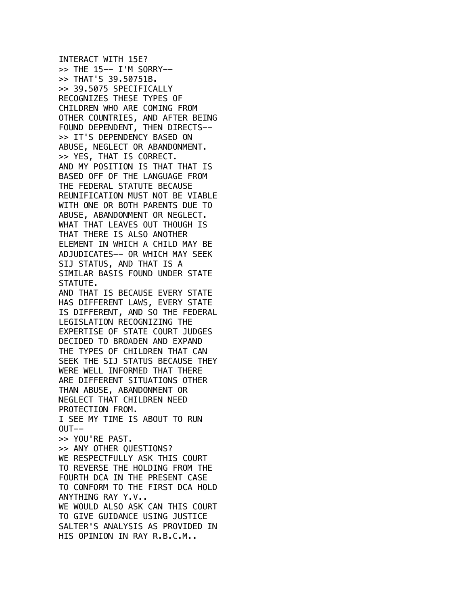INTERACT WITH 15E? >> THE 15-- I'M SORRY-- >> THAT'S 39.50751B. >> 39.5075 SPECIFICALLY RECOGNIZES THESE TYPES OF CHILDREN WHO ARE COMING FROM OTHER COUNTRIES, AND AFTER BEING FOUND DEPENDENT, THEN DIRECTS-- >> IT'S DEPENDENCY BASED ON ABUSE, NEGLECT OR ABANDONMENT. >> YES, THAT IS CORRECT. AND MY POSITION IS THAT THAT IS BASED OFF OF THE LANGUAGE FROM THE FEDERAL STATUTE BECAUSE REUNIFICATION MUST NOT BE VIABLE WITH ONE OR BOTH PARENTS DUE TO ABUSE, ABANDONMENT OR NEGLECT. WHAT THAT LEAVES OUT THOUGH IS THAT THERE IS ALSO ANOTHER ELEMENT IN WHICH A CHILD MAY BE ADJUDICATES-- OR WHICH MAY SEEK SIJ STATUS, AND THAT IS A SIMILAR BASIS FOUND UNDER STATE STATUTE. AND THAT IS BECAUSE EVERY STATE HAS DIFFERENT LAWS, EVERY STATE IS DIFFERENT, AND SO THE FEDERAL LEGISLATION RECOGNIZING THE EXPERTISE OF STATE COURT JUDGES DECIDED TO BROADEN AND EXPAND THE TYPES OF CHILDREN THAT CAN SEEK THE SIJ STATUS BECAUSE THEY WERE WELL INFORMED THAT THERE ARE DIFFERENT SITUATIONS OTHER THAN ABUSE, ABANDONMENT OR NEGLECT THAT CHILDREN NEED PROTECTION FROM. I SEE MY TIME IS ABOUT TO RUN  $OUT--$ >> YOU'RE PAST. >> ANY OTHER QUESTIONS? WE RESPECTFULLY ASK THIS COURT TO REVERSE THE HOLDING FROM THE FOURTH DCA IN THE PRESENT CASE TO CONFORM TO THE FIRST DCA HOLD ANYTHING RAY Y.V.. WE WOULD ALSO ASK CAN THIS COURT TO GIVE GUIDANCE USING JUSTICE SALTER'S ANALYSIS AS PROVIDED IN HIS OPINION IN RAY R.B.C.M..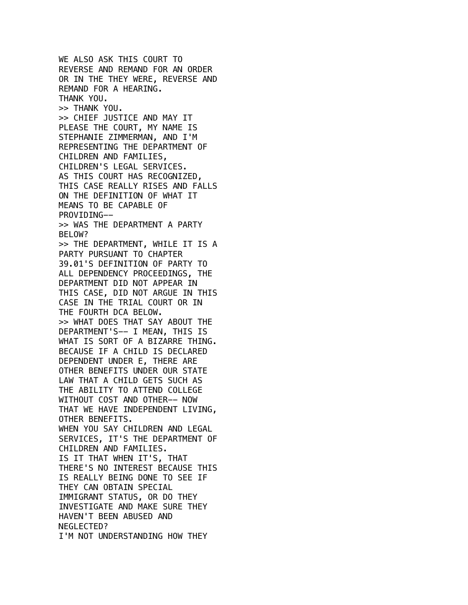WE ALSO ASK THIS COURT TO REVERSE AND REMAND FOR AN ORDER OR IN THE THEY WERE, REVERSE AND REMAND FOR A HEARING. THANK YOU. >> THANK YOU. >> CHIEF JUSTICE AND MAY IT PLEASE THE COURT, MY NAME IS STEPHANIE ZIMMERMAN, AND I'M REPRESENTING THE DEPARTMENT OF CHILDREN AND FAMILIES, CHILDREN'S LEGAL SERVICES. AS THIS COURT HAS RECOGNIZED, THIS CASE REALLY RISES AND FALLS ON THE DEFINITION OF WHAT IT MEANS TO BE CAPABLE OF PROVIDING-- >> WAS THE DEPARTMENT A PARTY BELOW? >> THE DEPARTMENT, WHILE IT IS A PARTY PURSUANT TO CHAPTER 39.01'S DEFINITION OF PARTY TO ALL DEPENDENCY PROCEEDINGS, THE DEPARTMENT DID NOT APPEAR IN THIS CASE, DID NOT ARGUE IN THIS CASE IN THE TRIAL COURT OR IN THE FOURTH DCA BELOW. >> WHAT DOES THAT SAY ABOUT THE DEPARTMENT'S-- I MEAN, THIS IS WHAT IS SORT OF A BIZARRE THING. BECAUSE IF A CHILD IS DECLARED DEPENDENT UNDER E, THERE ARE OTHER BENEFITS UNDER OUR STATE LAW THAT A CHILD GETS SUCH AS THE ABILITY TO ATTEND COLLEGE WITHOUT COST AND OTHER-- NOW THAT WE HAVE INDEPENDENT LIVING, OTHER BENEFITS. WHEN YOU SAY CHILDREN AND LEGAL SERVICES, IT'S THE DEPARTMENT OF CHILDREN AND FAMILIES. IS IT THAT WHEN IT'S, THAT THERE'S NO INTEREST BECAUSE THIS IS REALLY BEING DONE TO SEE IF THEY CAN OBTAIN SPECIAL IMMIGRANT STATUS, OR DO THEY INVESTIGATE AND MAKE SURE THEY HAVEN'T BEEN ABUSED AND NEGLECTED? I'M NOT UNDERSTANDING HOW THEY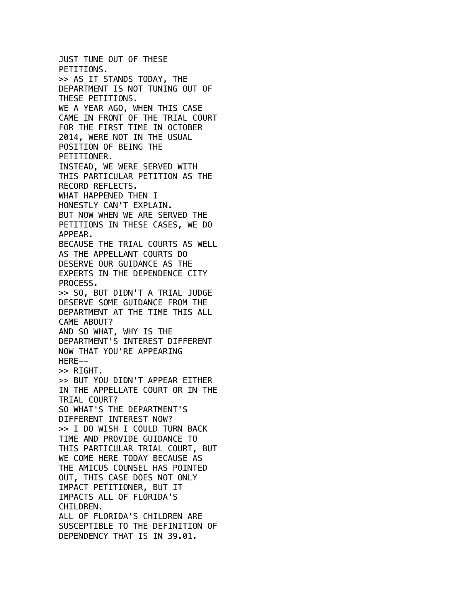JUST TUNE OUT OF THESE PETITIONS. >> AS IT STANDS TODAY, THE DEPARTMENT IS NOT TUNING OUT OF THESE PETITIONS. WE A YEAR AGO, WHEN THIS CASE CAME IN FRONT OF THE TRIAL COURT FOR THE FIRST TIME IN OCTOBER 2014, WERE NOT IN THE USUAL POSITION OF BEING THE PETITIONER. INSTEAD, WE WERE SERVED WITH THIS PARTICULAR PETITION AS THE RECORD REFLECTS. WHAT HAPPENED THEN I HONESTLY CAN'T EXPLAIN. BUT NOW WHEN WE ARE SERVED THE PETITIONS IN THESE CASES, WE DO APPEAR. BECAUSE THE TRIAL COURTS AS WELL AS THE APPELLANT COURTS DO DESERVE OUR GUIDANCE AS THE EXPERTS IN THE DEPENDENCE CITY PROCESS. >> SO, BUT DIDN'T A TRIAL JUDGE DESERVE SOME GUIDANCE FROM THE DEPARTMENT AT THE TIME THIS ALL CAME ABOUT? AND SO WHAT, WHY IS THE DEPARTMENT'S INTEREST DIFFERENT NOW THAT YOU'RE APPEARING HERE-- >> RIGHT. >> BUT YOU DIDN'T APPEAR EITHER IN THE APPELLATE COURT OR IN THE TRIAL COURT? SO WHAT'S THE DEPARTMENT'S DIFFERENT INTEREST NOW? >> I DO WISH I COULD TURN BACK TIME AND PROVIDE GUIDANCE TO THIS PARTICULAR TRIAL COURT, BUT WE COME HERE TODAY BECAUSE AS THE AMICUS COUNSEL HAS POINTED OUT, THIS CASE DOES NOT ONLY IMPACT PETITIONER, BUT IT IMPACTS ALL OF FLORIDA'S CHILDREN. ALL OF FLORIDA'S CHILDREN ARE SUSCEPTIBLE TO THE DEFINITION OF DEPENDENCY THAT IS IN 39.01.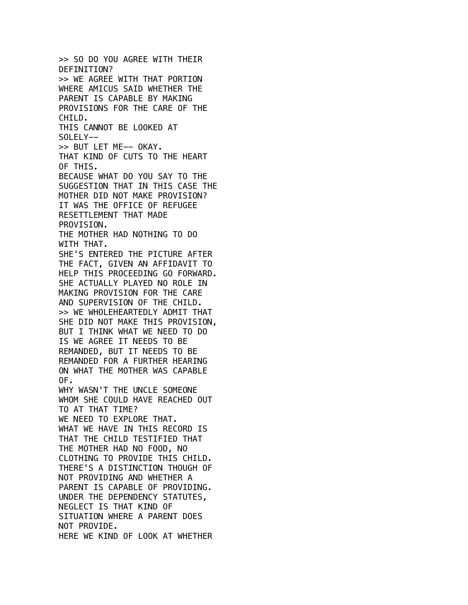>> SO DO YOU AGREE WITH THEIR DEFINITION? >> WE AGREE WITH THAT PORTION WHERE AMICUS SAID WHETHER THE PARENT IS CAPABLE BY MAKING PROVISIONS FOR THE CARE OF THE CHILD. THIS CANNOT BE LOOKED AT SOLELY-- >> BUT LET ME-- OKAY. THAT KIND OF CUTS TO THE HEART OF THIS. BECAUSE WHAT DO YOU SAY TO THE SUGGESTION THAT IN THIS CASE THE MOTHER DID NOT MAKE PROVISION? IT WAS THE OFFICE OF REFUGEE RESETTLEMENT THAT MADE PROVISION. THE MOTHER HAD NOTHING TO DO WITH THAT. SHE'S ENTERED THE PICTURE AFTER THE FACT, GIVEN AN AFFIDAVIT TO HELP THIS PROCEEDING GO FORWARD. SHE ACTUALLY PLAYED NO ROLE IN MAKING PROVISION FOR THE CARE AND SUPERVISION OF THE CHILD. >> WE WHOLEHEARTEDLY ADMIT THAT SHE DID NOT MAKE THIS PROVISION, BUT I THINK WHAT WE NEED TO DO IS WE AGREE IT NEEDS TO BE REMANDED, BUT IT NEEDS TO BE REMANDED FOR A FURTHER HEARING ON WHAT THE MOTHER WAS CAPABLE OF. WHY WASN'T THE UNCLE SOMEONE WHOM SHE COULD HAVE REACHED OUT TO AT THAT TIME? WE NEED TO EXPLORE THAT. WHAT WE HAVE IN THIS RECORD IS THAT THE CHILD TESTIFIED THAT THE MOTHER HAD NO FOOD, NO CLOTHING TO PROVIDE THIS CHILD. THERE'S A DISTINCTION THOUGH OF NOT PROVIDING AND WHETHER A PARENT IS CAPABLE OF PROVIDING. UNDER THE DEPENDENCY STATUTES, NEGLECT IS THAT KIND OF SITUATION WHERE A PARENT DOES NOT PROVIDE. HERE WE KIND OF LOOK AT WHETHER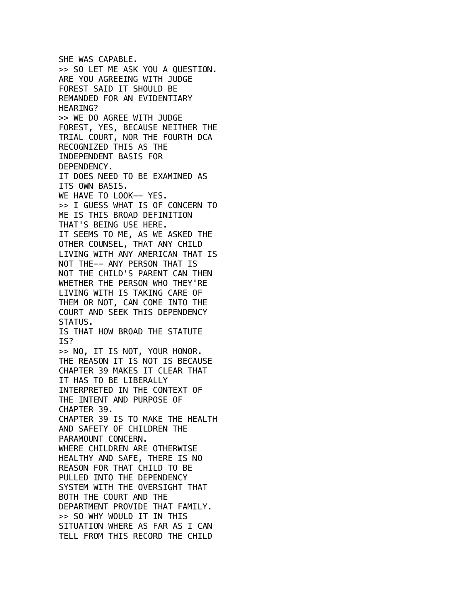SHE WAS CAPABLE. >> SO LET ME ASK YOU A QUESTION. ARE YOU AGREEING WITH JUDGE FOREST SAID IT SHOULD BE REMANDED FOR AN EVIDENTIARY HEARING? >> WE DO AGREE WITH JUDGE FOREST, YES, BECAUSE NEITHER THE TRIAL COURT, NOR THE FOURTH DCA RECOGNIZED THIS AS THE INDEPENDENT BASIS FOR DEPENDENCY. IT DOES NEED TO BE EXAMINED AS ITS OWN BASIS. WE HAVE TO LOOK-- YES. >> I GUESS WHAT IS OF CONCERN TO ME IS THIS BROAD DEFINITION THAT'S BEING USE HERE. IT SEEMS TO ME, AS WE ASKED THE OTHER COUNSEL, THAT ANY CHILD LIVING WITH ANY AMERICAN THAT IS NOT THE-- ANY PERSON THAT IS NOT THE CHILD'S PARENT CAN THEN WHETHER THE PERSON WHO THEY'RE LIVING WITH IS TAKING CARE OF THEM OR NOT, CAN COME INTO THE COURT AND SEEK THIS DEPENDENCY STATUS. IS THAT HOW BROAD THE STATUTE IS? >> NO, IT IS NOT, YOUR HONOR. THE REASON IT IS NOT IS BECAUSE CHAPTER 39 MAKES IT CLEAR THAT IT HAS TO BE LIBERALLY INTERPRETED IN THE CONTEXT OF THE INTENT AND PURPOSE OF CHAPTER 39. CHAPTER 39 IS TO MAKE THE HEALTH AND SAFETY OF CHILDREN THE PARAMOUNT CONCERN. WHERE CHILDREN ARE OTHERWISE HEALTHY AND SAFE, THERE IS NO REASON FOR THAT CHILD TO BE PULLED INTO THE DEPENDENCY SYSTEM WITH THE OVERSIGHT THAT BOTH THE COURT AND THE DEPARTMENT PROVIDE THAT FAMILY. >> SO WHY WOULD IT IN THIS SITUATION WHERE AS FAR AS I CAN TELL FROM THIS RECORD THE CHILD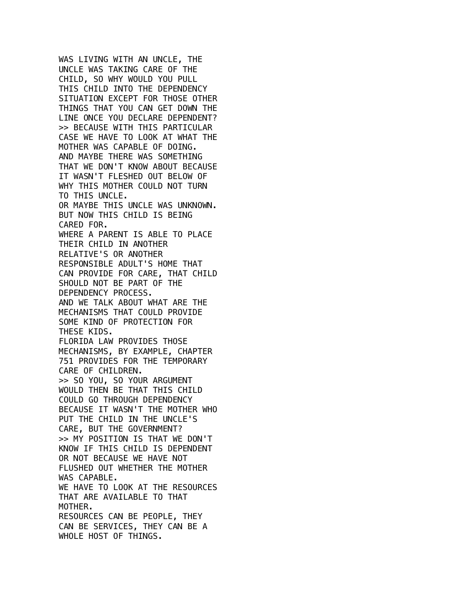WAS LIVING WITH AN UNCLE, THE UNCLE WAS TAKING CARE OF THE CHILD, SO WHY WOULD YOU PULL THIS CHILD INTO THE DEPENDENCY SITUATION EXCEPT FOR THOSE OTHER THINGS THAT YOU CAN GET DOWN THE LINE ONCE YOU DECLARE DEPENDENT? >> BECAUSE WITH THIS PARTICULAR CASE WE HAVE TO LOOK AT WHAT THE MOTHER WAS CAPABLE OF DOING. AND MAYBE THERE WAS SOMETHING THAT WE DON'T KNOW ABOUT BECAUSE IT WASN'T FLESHED OUT BELOW OF WHY THIS MOTHER COULD NOT TURN TO THIS UNCLE. OR MAYBE THIS UNCLE WAS UNKNOWN. BUT NOW THIS CHILD IS BEING CARED FOR. WHERE A PARENT IS ABLE TO PLACE THEIR CHILD IN ANOTHER RELATIVE'S OR ANOTHER RESPONSIBLE ADULT'S HOME THAT CAN PROVIDE FOR CARE, THAT CHILD SHOULD NOT BE PART OF THE DEPENDENCY PROCESS. AND WE TALK ABOUT WHAT ARE THE MECHANISMS THAT COULD PROVIDE SOME KIND OF PROTECTION FOR THESE KIDS. FLORIDA LAW PROVIDES THOSE MECHANISMS, BY EXAMPLE, CHAPTER 751 PROVIDES FOR THE TEMPORARY CARE OF CHILDREN. >> SO YOU, SO YOUR ARGUMENT WOULD THEN BE THAT THIS CHILD COULD GO THROUGH DEPENDENCY BECAUSE IT WASN'T THE MOTHER WHO PUT THE CHILD IN THE UNCLE'S CARE, BUT THE GOVERNMENT? >> MY POSITION IS THAT WE DON'T KNOW IF THIS CHILD IS DEPENDENT OR NOT BECAUSE WE HAVE NOT FLUSHED OUT WHETHER THE MOTHER WAS CAPABLE. WE HAVE TO LOOK AT THE RESOURCES THAT ARE AVAILABLE TO THAT MOTHER. RESOURCES CAN BE PEOPLE, THEY CAN BE SERVICES, THEY CAN BE A WHOLE HOST OF THINGS.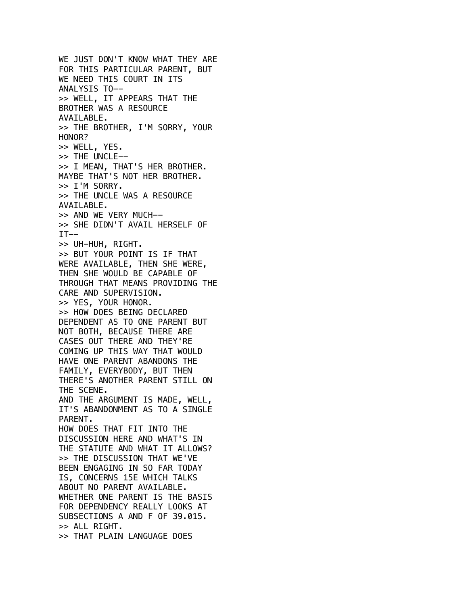WE JUST DON'T KNOW WHAT THEY ARE FOR THIS PARTICULAR PARENT, BUT WE NEED THIS COURT IN ITS ANALYSIS TO-- >> WELL, IT APPEARS THAT THE BROTHER WAS A RESOURCE AVAILABLE. >> THE BROTHER, I'M SORRY, YOUR HONOR? >> WELL, YES. >> THE UNCLE-- >> I MEAN, THAT'S HER BROTHER. MAYBE THAT'S NOT HER BROTHER. >> I'M SORRY. >> THE UNCLE WAS A RESOURCE AVAILABLE. >> AND WE VERY MUCH-- >> SHE DIDN'T AVAIL HERSELF OF  $IT--$ >> UH-HUH, RIGHT. >> BUT YOUR POINT IS IF THAT WERE AVAILABLE, THEN SHE WERE, THEN SHE WOULD BE CAPABLE OF THROUGH THAT MEANS PROVIDING THE CARE AND SUPERVISION. >> YES, YOUR HONOR. >> HOW DOES BEING DECLARED DEPENDENT AS TO ONE PARENT BUT NOT BOTH, BECAUSE THERE ARE CASES OUT THERE AND THEY'RE COMING UP THIS WAY THAT WOULD HAVE ONE PARENT ABANDONS THE FAMILY, EVERYBODY, BUT THEN THERE'S ANOTHER PARENT STILL ON THE SCENE. AND THE ARGUMENT IS MADE, WELL, IT'S ABANDONMENT AS TO A SINGLE PARENT. HOW DOES THAT FIT INTO THE DISCUSSION HERE AND WHAT'S IN THE STATUTE AND WHAT IT ALLOWS? >> THE DISCUSSION THAT WE'VE BEEN ENGAGING IN SO FAR TODAY IS, CONCERNS 15E WHICH TALKS ABOUT NO PARENT AVAILABLE. WHETHER ONE PARENT IS THE BASIS FOR DEPENDENCY REALLY LOOKS AT SUBSECTIONS A AND F OF 39.015. >> ALL RIGHT. >> THAT PLAIN LANGUAGE DOES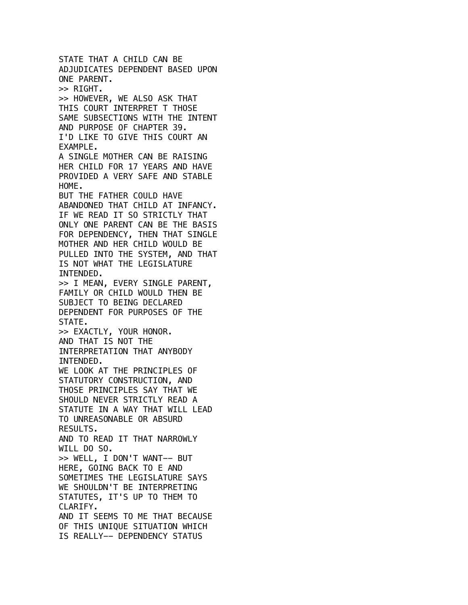STATE THAT A CHILD CAN BE ADJUDICATES DEPENDENT BASED UPON ONE PARENT. >> RIGHT. >> HOWEVER, WE ALSO ASK THAT THIS COURT INTERPRET T THOSE SAME SUBSECTIONS WITH THE INTENT AND PURPOSE OF CHAPTER 39. I'D LIKE TO GIVE THIS COURT AN EXAMPLE. A SINGLE MOTHER CAN BE RAISING HER CHILD FOR 17 YEARS AND HAVE PROVIDED A VERY SAFE AND STABLE HOME. BUT THE FATHER COULD HAVE ABANDONED THAT CHILD AT INFANCY. IF WE READ IT SO STRICTLY THAT ONLY ONE PARENT CAN BE THE BASIS FOR DEPENDENCY, THEN THAT SINGLE MOTHER AND HER CHILD WOULD BE PULLED INTO THE SYSTEM, AND THAT IS NOT WHAT THE LEGISLATURE INTENDED. >> I MEAN, EVERY SINGLE PARENT, FAMILY OR CHILD WOULD THEN BE SUBJECT TO BEING DECLARED DEPENDENT FOR PURPOSES OF THE STATE. >> EXACTLY, YOUR HONOR. AND THAT IS NOT THE INTERPRETATION THAT ANYBODY INTENDED. WE LOOK AT THE PRINCIPLES OF STATUTORY CONSTRUCTION, AND THOSE PRINCIPLES SAY THAT WE SHOULD NEVER STRICTLY READ A STATUTE IN A WAY THAT WILL LEAD TO UNREASONABLE OR ABSURD RESULTS. AND TO READ IT THAT NARROWLY WILL DO SO. >> WELL, I DON'T WANT-- BUT HERE, GOING BACK TO E AND SOMETIMES THE LEGISLATURE SAYS WE SHOULDN'T BE INTERPRETING STATUTES, IT'S UP TO THEM TO CLARIFY. AND IT SEEMS TO ME THAT BECAUSE OF THIS UNIQUE SITUATION WHICH IS REALLY-- DEPENDENCY STATUS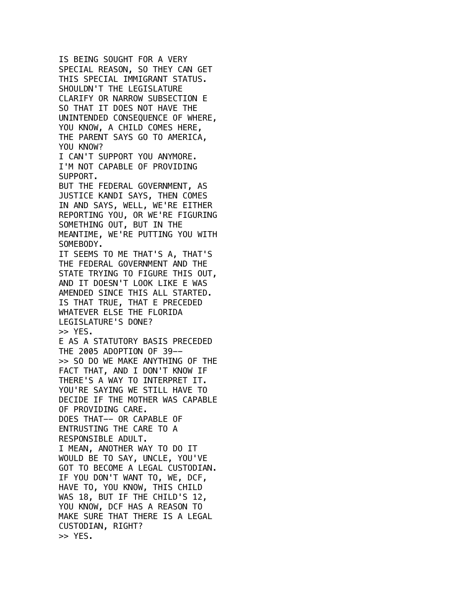IS BEING SOUGHT FOR A VERY SPECIAL REASON, SO THEY CAN GET THIS SPECIAL IMMIGRANT STATUS. SHOULDN'T THE LEGISLATURE CLARIFY OR NARROW SUBSECTION E SO THAT IT DOES NOT HAVE THE UNINTENDED CONSEQUENCE OF WHERE, YOU KNOW, A CHILD COMES HERE, THE PARENT SAYS GO TO AMERICA, YOU KNOW? I CAN'T SUPPORT YOU ANYMORE. I'M NOT CAPABLE OF PROVIDING SUPPORT. BUT THE FEDERAL GOVERNMENT, AS JUSTICE KANDI SAYS, THEN COMES IN AND SAYS, WELL, WE'RE EITHER REPORTING YOU, OR WE'RE FIGURING SOMETHING OUT, BUT IN THE MEANTIME, WE'RE PUTTING YOU WITH SOMEBODY. IT SEEMS TO ME THAT'S A, THAT'S THE FEDERAL GOVERNMENT AND THE STATE TRYING TO FIGURE THIS OUT, AND IT DOESN'T LOOK LIKE E WAS AMENDED SINCE THIS ALL STARTED. IS THAT TRUE, THAT E PRECEDED WHATEVER ELSE THE FLORIDA LEGISLATURE'S DONE? >> YES. E AS A STATUTORY BASIS PRECEDED THE 2005 ADOPTION OF 39-- >> SO DO WE MAKE ANYTHING OF THE FACT THAT, AND I DON'T KNOW IF THERE'S A WAY TO INTERPRET IT. YOU'RE SAYING WE STILL HAVE TO DECIDE IF THE MOTHER WAS CAPABLE OF PROVIDING CARE. DOES THAT-- OR CAPABLE OF ENTRUSTING THE CARE TO A RESPONSIBLE ADULT. I MEAN, ANOTHER WAY TO DO IT WOULD BE TO SAY, UNCLE, YOU'VE GOT TO BECOME A LEGAL CUSTODIAN. IF YOU DON'T WANT TO, WE, DCF, HAVE TO, YOU KNOW, THIS CHILD WAS 18, BUT IF THE CHILD'S 12, YOU KNOW, DCF HAS A REASON TO MAKE SURE THAT THERE IS A LEGAL CUSTODIAN, RIGHT? >> YES.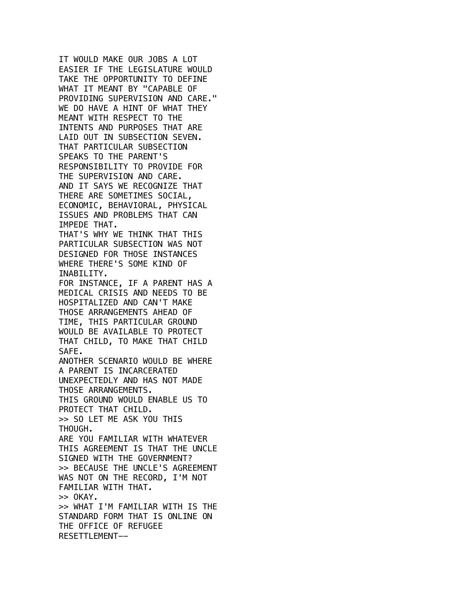IT WOULD MAKE OUR JOBS A LOT EASIER IF THE LEGISLATURE WOULD TAKE THE OPPORTUNITY TO DEFINE WHAT IT MEANT BY "CAPABLE OF PROVIDING SUPERVISION AND CARE." WE DO HAVE A HINT OF WHAT THEY MEANT WITH RESPECT TO THE INTENTS AND PURPOSES THAT ARE LAID OUT IN SUBSECTION SEVEN. THAT PARTICULAR SUBSECTION SPEAKS TO THE PARENT'S RESPONSIBILITY TO PROVIDE FOR THE SUPERVISION AND CARE. AND IT SAYS WE RECOGNIZE THAT THERE ARE SOMETIMES SOCIAL, ECONOMIC, BEHAVIORAL, PHYSICAL ISSUES AND PROBLEMS THAT CAN IMPEDE THAT. THAT'S WHY WE THINK THAT THIS PARTICULAR SUBSECTION WAS NOT DESIGNED FOR THOSE INSTANCES WHERE THERE'S SOME KIND OF INABILITY. FOR INSTANCE, IF A PARENT HAS A MEDICAL CRISIS AND NEEDS TO BE HOSPITALIZED AND CAN'T MAKE THOSE ARRANGEMENTS AHEAD OF TIME, THIS PARTICULAR GROUND WOULD BE AVAILABLE TO PROTECT THAT CHILD, TO MAKE THAT CHILD SAFE. ANOTHER SCENARIO WOULD BE WHERE A PARENT IS INCARCERATED UNEXPECTEDLY AND HAS NOT MADE THOSE ARRANGEMENTS. THIS GROUND WOULD ENABLE US TO PROTECT THAT CHILD. >> SO LET ME ASK YOU THIS THOUGH. ARE YOU FAMILIAR WITH WHATEVER THIS AGREEMENT IS THAT THE UNCLE SIGNED WITH THE GOVERNMENT? >> BECAUSE THE UNCLE'S AGREEMENT WAS NOT ON THE RECORD, I'M NOT FAMILIAR WITH THAT.  $>>$  OKAY. >> WHAT I'M FAMILIAR WITH IS THE STANDARD FORM THAT IS ONLINE ON THE OFFICE OF REFUGEE RESETTLEMENT--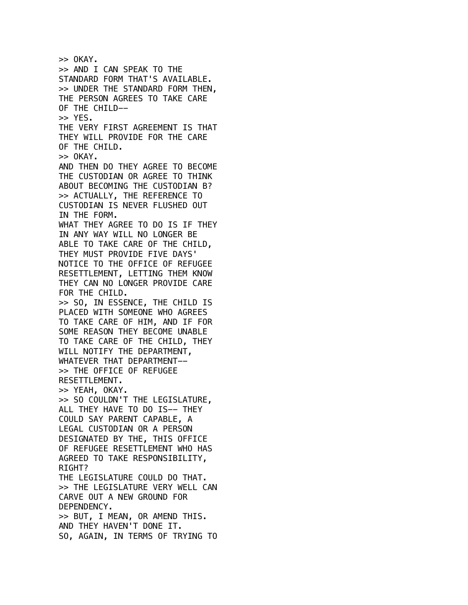$>>$  OKAY. >> AND I CAN SPEAK TO THE STANDARD FORM THAT'S AVAILABLE. >> UNDER THE STANDARD FORM THEN, THE PERSON AGREES TO TAKE CARE OF THE CHILD-- >> YES. THE VERY FIRST AGREEMENT IS THAT THEY WILL PROVIDE FOR THE CARE OF THE CHILD.  $>>$  OKAY. AND THEN DO THEY AGREE TO BECOME THE CUSTODIAN OR AGREE TO THINK ABOUT BECOMING THE CUSTODIAN B? >> ACTUALLY, THE REFERENCE TO CUSTODIAN IS NEVER FLUSHED OUT IN THE FORM. WHAT THEY AGREE TO DO IS IF THEY IN ANY WAY WILL NO LONGER BE ABLE TO TAKE CARE OF THE CHILD, THEY MUST PROVIDE FIVE DAYS' NOTICE TO THE OFFICE OF REFUGEE RESETTLEMENT, LETTING THEM KNOW THEY CAN NO LONGER PROVIDE CARE FOR THE CHILD. >> SO, IN ESSENCE, THE CHILD IS PLACED WITH SOMEONE WHO AGREES TO TAKE CARE OF HIM, AND IF FOR SOME REASON THEY BECOME UNABLE TO TAKE CARE OF THE CHILD, THEY WILL NOTIFY THE DEPARTMENT, WHATEVER THAT DEPARTMENT-- >> THE OFFICE OF REFUGEE RESETTLEMENT. >> YEAH, OKAY. >> SO COULDN'T THE LEGISLATURE, ALL THEY HAVE TO DO IS-- THEY COULD SAY PARENT CAPABLE, A LEGAL CUSTODIAN OR A PERSON DESIGNATED BY THE, THIS OFFICE OF REFUGEE RESETTLEMENT WHO HAS AGREED TO TAKE RESPONSIBILITY, RIGHT? THE LEGISLATURE COULD DO THAT. >> THE LEGISLATURE VERY WELL CAN CARVE OUT A NEW GROUND FOR DEPENDENCY. >> BUT, I MEAN, OR AMEND THIS. AND THEY HAVEN'T DONE IT. SO, AGAIN, IN TERMS OF TRYING TO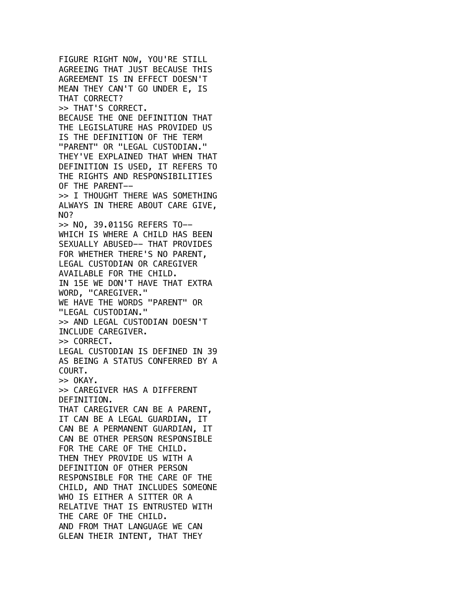FIGURE RIGHT NOW, YOU'RE STILL AGREEING THAT JUST BECAUSE THIS AGREEMENT IS IN EFFECT DOESN'T MEAN THEY CAN'T GO UNDER E, IS THAT CORRECT? >> THAT'S CORRECT. BECAUSE THE ONE DEFINITION THAT THE LEGISLATURE HAS PROVIDED US IS THE DEFINITION OF THE TERM "PARENT" OR "LEGAL CUSTODIAN." THEY'VE EXPLAINED THAT WHEN THAT DEFINITION IS USED, IT REFERS TO THE RIGHTS AND RESPONSIBILITIES OF THE PARENT-- >> I THOUGHT THERE WAS SOMETHING ALWAYS IN THERE ABOUT CARE GIVE, NO? >> NO, 39.0115G REFERS TO-- WHICH IS WHERE A CHILD HAS BEEN SEXUALLY ABUSED-- THAT PROVIDES FOR WHETHER THERE'S NO PARENT, LEGAL CUSTODIAN OR CAREGIVER AVAILABLE FOR THE CHILD. IN 15E WE DON'T HAVE THAT EXTRA WORD, "CAREGIVER." WE HAVE THE WORDS "PARENT" OR "LEGAL CUSTODIAN." >> AND LEGAL CUSTODIAN DOESN'T INCLUDE CAREGIVER. >> CORRECT. LEGAL CUSTODIAN IS DEFINED IN 39 AS BEING A STATUS CONFERRED BY A COURT. >> OKAY. >> CAREGIVER HAS A DIFFERENT DEFINITION. THAT CAREGIVER CAN BE A PARENT, IT CAN BE A LEGAL GUARDIAN, IT CAN BE A PERMANENT GUARDIAN, IT CAN BE OTHER PERSON RESPONSIBLE FOR THE CARE OF THE CHILD. THEN THEY PROVIDE US WITH A DEFINITION OF OTHER PERSON RESPONSIBLE FOR THE CARE OF THE CHILD, AND THAT INCLUDES SOMEONE WHO IS EITHER A SITTER OR A RELATIVE THAT IS ENTRUSTED WITH THE CARE OF THE CHILD. AND FROM THAT LANGUAGE WE CAN GLEAN THEIR INTENT, THAT THEY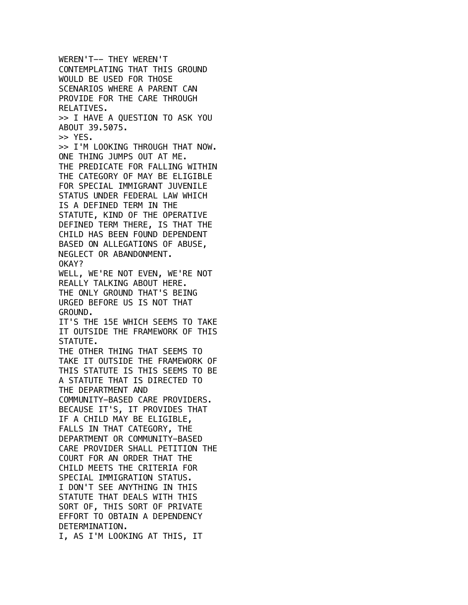WEREN'T-- THEY WEREN'T CONTEMPLATING THAT THIS GROUND WOULD BE USED FOR THOSE SCENARIOS WHERE A PARENT CAN PROVIDE FOR THE CARE THROUGH RELATIVES. >> I HAVE A QUESTION TO ASK YOU ABOUT 39.5075. >> YES. >> I'M LOOKING THROUGH THAT NOW. ONE THING JUMPS OUT AT ME. THE PREDICATE FOR FALLING WITHIN THE CATEGORY OF MAY BE ELIGIBLE FOR SPECIAL IMMIGRANT JUVENILE STATUS UNDER FEDERAL LAW WHICH IS A DEFINED TERM IN THE STATUTE, KIND OF THE OPERATIVE DEFINED TERM THERE, IS THAT THE CHILD HAS BEEN FOUND DEPENDENT BASED ON ALLEGATIONS OF ABUSE, NEGLECT OR ABANDONMENT. OKAY? WELL, WE'RE NOT EVEN, WE'RE NOT REALLY TALKING ABOUT HERE. THE ONLY GROUND THAT'S BEING URGED BEFORE US IS NOT THAT GROUND. IT'S THE 15E WHICH SEEMS TO TAKE IT OUTSIDE THE FRAMEWORK OF THIS STATUTE. THE OTHER THING THAT SEEMS TO TAKE IT OUTSIDE THE FRAMEWORK OF THIS STATUTE IS THIS SEEMS TO BE A STATUTE THAT IS DIRECTED TO THE DEPARTMENT AND COMMUNITY-BASED CARE PROVIDERS. BECAUSE IT'S, IT PROVIDES THAT IF A CHILD MAY BE ELIGIBLE, FALLS IN THAT CATEGORY, THE DEPARTMENT OR COMMUNITY-BASED CARE PROVIDER SHALL PETITION THE COURT FOR AN ORDER THAT THE CHILD MEETS THE CRITERIA FOR SPECIAL IMMIGRATION STATUS. I DON'T SEE ANYTHING IN THIS STATUTE THAT DEALS WITH THIS SORT OF, THIS SORT OF PRIVATE EFFORT TO OBTAIN A DEPENDENCY DETERMINATION. I, AS I'M LOOKING AT THIS, IT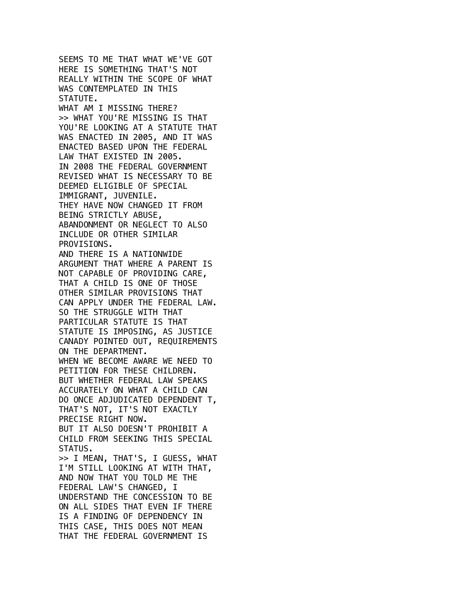SEEMS TO ME THAT WHAT WE'VE GOT HERE IS SOMETHING THAT'S NOT REALLY WITHIN THE SCOPE OF WHAT WAS CONTEMPLATED IN THIS STATUTE. WHAT AM I MISSING THERE? >> WHAT YOU'RE MISSING IS THAT YOU'RE LOOKING AT A STATUTE THAT WAS ENACTED IN 2005, AND IT WAS ENACTED BASED UPON THE FEDERAL LAW THAT EXISTED IN 2005. IN 2008 THE FEDERAL GOVERNMENT REVISED WHAT IS NECESSARY TO BE DEEMED ELIGIBLE OF SPECIAL IMMIGRANT, JUVENILE. THEY HAVE NOW CHANGED IT FROM BEING STRICTLY ABUSE, ABANDONMENT OR NEGLECT TO ALSO INCLUDE OR OTHER SIMILAR PROVISIONS. AND THERE IS A NATIONWIDE ARGUMENT THAT WHERE A PARENT IS NOT CAPABLE OF PROVIDING CARE, THAT A CHILD IS ONE OF THOSE OTHER SIMILAR PROVISIONS THAT CAN APPLY UNDER THE FEDERAL LAW. SO THE STRUGGLE WITH THAT PARTICULAR STATUTE IS THAT STATUTE IS IMPOSING, AS JUSTICE CANADY POINTED OUT, REQUIREMENTS ON THE DEPARTMENT. WHEN WE BECOME AWARE WE NEED TO PETITION FOR THESE CHILDREN. BUT WHETHER FEDERAL LAW SPEAKS ACCURATELY ON WHAT A CHILD CAN DO ONCE ADJUDICATED DEPENDENT T, THAT'S NOT, IT'S NOT EXACTLY PRECISE RIGHT NOW. BUT IT ALSO DOESN'T PROHIBIT A CHILD FROM SEEKING THIS SPECIAL STATUS. >> I MEAN, THAT'S, I GUESS, WHAT I'M STILL LOOKING AT WITH THAT, AND NOW THAT YOU TOLD ME THE FEDERAL LAW'S CHANGED, I UNDERSTAND THE CONCESSION TO BE ON ALL SIDES THAT EVEN IF THERE IS A FINDING OF DEPENDENCY IN THIS CASE, THIS DOES NOT MEAN THAT THE FEDERAL GOVERNMENT IS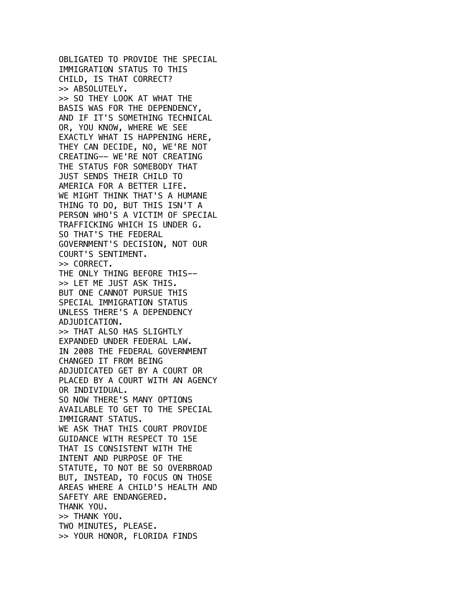OBLIGATED TO PROVIDE THE SPECIAL IMMIGRATION STATUS TO THIS CHILD, IS THAT CORRECT? >> ABSOLUTELY. >> SO THEY LOOK AT WHAT THE BASIS WAS FOR THE DEPENDENCY, AND IF IT'S SOMETHING TECHNICAL OR, YOU KNOW, WHERE WE SEE EXACTLY WHAT IS HAPPENING HERE, THEY CAN DECIDE, NO, WE'RE NOT CREATING-- WE'RE NOT CREATING THE STATUS FOR SOMEBODY THAT JUST SENDS THEIR CHILD TO AMERICA FOR A BETTER LIFE. WE MIGHT THINK THAT'S A HUMANE THING TO DO, BUT THIS ISN'T A PERSON WHO'S A VICTIM OF SPECIAL TRAFFICKING WHICH IS UNDER G. SO THAT'S THE FEDERAL GOVERNMENT'S DECISION, NOT OUR COURT'S SENTIMENT. >> CORRECT. THE ONLY THING BEFORE THIS-- >> LET ME JUST ASK THIS. BUT ONE CANNOT PURSUE THIS SPECIAL IMMIGRATION STATUS UNLESS THERE'S A DEPENDENCY ADJUDICATION. >> THAT ALSO HAS SLIGHTLY EXPANDED UNDER FEDERAL LAW. IN 2008 THE FEDERAL GOVERNMENT CHANGED IT FROM BEING ADJUDICATED GET BY A COURT OR PLACED BY A COURT WITH AN AGENCY OR INDIVIDUAL. SO NOW THERE'S MANY OPTIONS AVAILABLE TO GET TO THE SPECIAL IMMIGRANT STATUS. WE ASK THAT THIS COURT PROVIDE GUIDANCE WITH RESPECT TO 15E THAT IS CONSISTENT WITH THE INTENT AND PURPOSE OF THE STATUTE, TO NOT BE SO OVERBROAD BUT, INSTEAD, TO FOCUS ON THOSE AREAS WHERE A CHILD'S HEALTH AND SAFETY ARE ENDANGERED. THANK YOU. >> THANK YOU. TWO MINUTES, PLEASE. >> YOUR HONOR, FLORIDA FINDS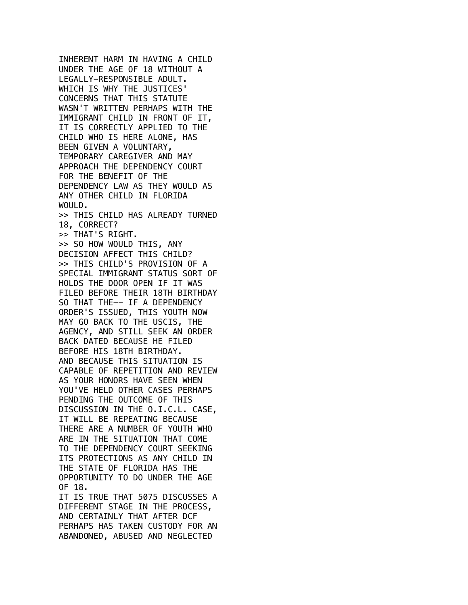INHERENT HARM IN HAVING A CHILD UNDER THE AGE OF 18 WITHOUT A LEGALLY-RESPONSIBLE ADULT. WHICH IS WHY THE JUSTICES' CONCERNS THAT THIS STATUTE WASN'T WRITTEN PERHAPS WITH THE IMMIGRANT CHILD IN FRONT OF IT, IT IS CORRECTLY APPLIED TO THE CHILD WHO IS HERE ALONE, HAS BEEN GIVEN A VOLUNTARY, TEMPORARY CAREGIVER AND MAY APPROACH THE DEPENDENCY COURT FOR THE BENEFIT OF THE DEPENDENCY LAW AS THEY WOULD AS ANY OTHER CHILD IN FLORIDA WOULD. >> THIS CHILD HAS ALREADY TURNED 18, CORRECT? >> THAT'S RIGHT. >> SO HOW WOULD THIS, ANY DECISION AFFECT THIS CHILD? >> THIS CHILD'S PROVISION OF A SPECIAL IMMIGRANT STATUS SORT OF HOLDS THE DOOR OPEN IF IT WAS FILED BEFORE THEIR 18TH BIRTHDAY SO THAT THE-- IF A DEPENDENCY ORDER'S ISSUED, THIS YOUTH NOW MAY GO BACK TO THE USCIS, THE AGENCY, AND STILL SEEK AN ORDER BACK DATED BECAUSE HE FILED BEFORE HIS 18TH BIRTHDAY. AND BECAUSE THIS SITUATION IS CAPABLE OF REPETITION AND REVIEW AS YOUR HONORS HAVE SEEN WHEN YOU'VE HELD OTHER CASES PERHAPS PENDING THE OUTCOME OF THIS DISCUSSION IN THE O.I.C.L. CASE, IT WILL BE REPEATING BECAUSE THERE ARE A NUMBER OF YOUTH WHO ARE IN THE SITUATION THAT COME TO THE DEPENDENCY COURT SEEKING ITS PROTECTIONS AS ANY CHILD IN THE STATE OF FLORIDA HAS THE OPPORTUNITY TO DO UNDER THE AGE OF 18. IT IS TRUE THAT 5075 DISCUSSES A DIFFERENT STAGE IN THE PROCESS, AND CERTAINLY THAT AFTER DCF PERHAPS HAS TAKEN CUSTODY FOR AN ABANDONED, ABUSED AND NEGLECTED